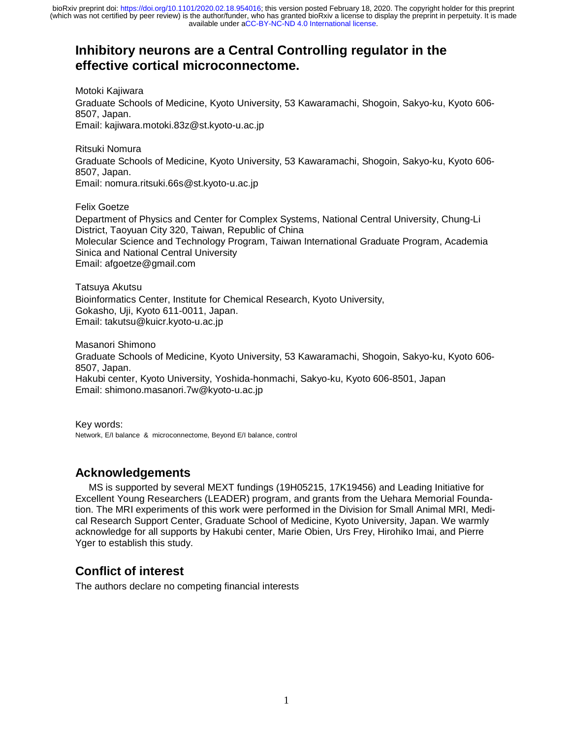## **Inhibitory neurons are a Central Controlling regulator in the effective cortical microconnectome.**

Motoki Kajiwara Graduate Schools of Medicine, Kyoto University, 53 Kawaramachi, Shogoin, Sakyo-ku, Kyoto 606- 8507, Japan. Email: kajiwara.motoki.83z@st.kyoto-u.ac.jp

Ritsuki Nomura Graduate Schools of Medicine, Kyoto University, 53 Kawaramachi, Shogoin, Sakyo-ku, Kyoto 606- 8507, Japan. Email: nomura.ritsuki.66s@st.kyoto-u.ac.jp

Felix Goetze Department of Physics and Center for Complex Systems, National Central University, Chung-Li District, Taoyuan City 320, Taiwan, Republic of China Molecular Science and Technology Program, Taiwan International Graduate Program, Academia Sinica and National Central University Email: afgoetze@gmail.com

Tatsuya Akutsu Bioinformatics Center, Institute for Chemical Research, Kyoto University, Gokasho, Uji, Kyoto 611-0011, Japan. Email: takutsu@kuicr.kyoto-u.ac.jp

Masanori Shimono Graduate Schools of Medicine, Kyoto University, 53 Kawaramachi, Shogoin, Sakyo-ku, Kyoto 606- 8507, Japan. Hakubi center, Kyoto University, Yoshida-honmachi, Sakyo-ku, Kyoto 606-8501, Japan Email: shimono.masanori.7w@kyoto-u.ac.jp

Key words: Network, E/I balance & microconnectome, Beyond E/I balance, control

## **Acknowledgements**

 MS is supported by several MEXT fundings (19H05215, 17K19456) and Leading Initiative for Excellent Young Researchers (LEADER) program, and grants from the Uehara Memorial Foundation. The MRI experiments of this work were performed in the Division for Small Animal MRI, Medical Research Support Center, Graduate School of Medicine, Kyoto University, Japan. We warmly acknowledge for all supports by Hakubi center, Marie Obien, Urs Frey, Hirohiko Imai, and Pierre Yger to establish this study.

## **Conflict of interest**

The authors declare no competing financial interests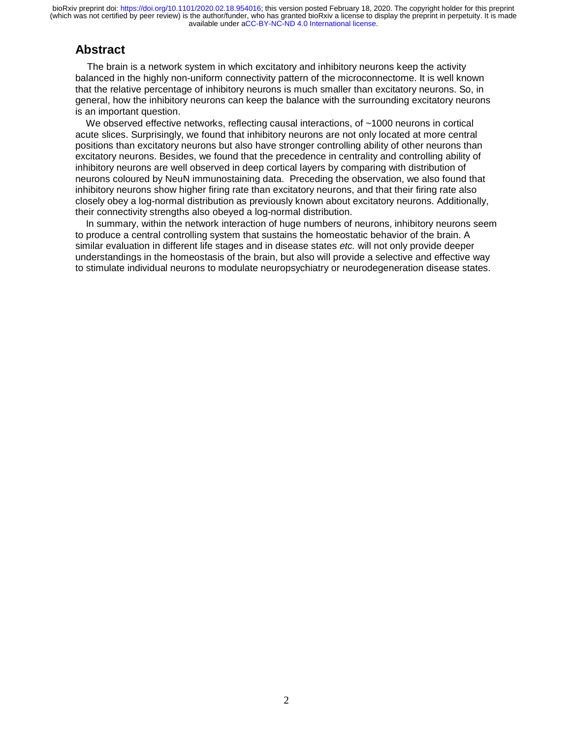## **Abstract**

 The brain is a network system in which excitatory and inhibitory neurons keep the activity balanced in the highly non-uniform connectivity pattern of the microconnectome. It is well known that the relative percentage of inhibitory neurons is much smaller than excitatory neurons. So, in general, how the inhibitory neurons can keep the balance with the surrounding excitatory neurons is an important question.

We observed effective networks, reflecting causal interactions, of ~1000 neurons in cortical acute slices. Surprisingly, we found that inhibitory neurons are not only located at more central positions than excitatory neurons but also have stronger controlling ability of other neurons than excitatory neurons. Besides, we found that the precedence in centrality and controlling ability of inhibitory neurons are well observed in deep cortical layers by comparing with distribution of neurons coloured by NeuN immunostaining data. Preceding the observation, we also found that inhibitory neurons show higher firing rate than excitatory neurons, and that their firing rate also closely obey a log-normal distribution as previously known about excitatory neurons. Additionally, their connectivity strengths also obeyed a log-normal distribution.

 In summary, within the network interaction of huge numbers of neurons, inhibitory neurons seem to produce a central controlling system that sustains the homeostatic behavior of the brain. A similar evaluation in different life stages and in disease states *etc.* will not only provide deeper understandings in the homeostasis of the brain, but also will provide a selective and effective way to stimulate individual neurons to modulate neuropsychiatry or neurodegeneration disease states.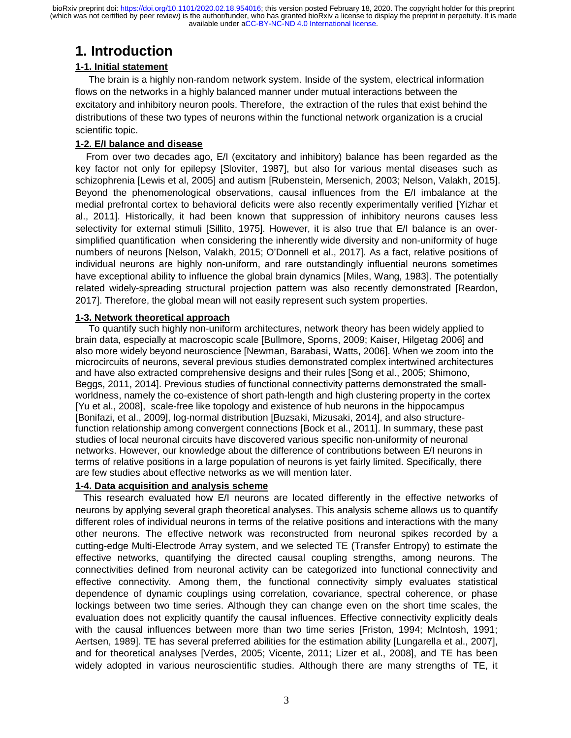# **1. Introduction**

## **1-1. Initial statement**

 The brain is a highly non-random network system. Inside of the system, electrical information flows on the networks in a highly balanced manner under mutual interactions between the excitatory and inhibitory neuron pools. Therefore, the extraction of the rules that exist behind the distributions of these two types of neurons within the functional network organization is a crucial scientific topic.

### **1-2. E/I balance and disease**

 From over two decades ago, E/I (excitatory and inhibitory) balance has been regarded as the key factor not only for epilepsy [Sloviter, 1987], but also for various mental diseases such as schizophrenia [Lewis et al, 2005] and autism [Rubenstein, Mersenich, 2003; Nelson, Valakh, 2015]. Beyond the phenomenological observations, causal influences from the E/I imbalance at the medial prefrontal cortex to behavioral deficits were also recently experimentally verified [Yizhar et al., 2011]. Historically, it had been known that suppression of inhibitory neurons causes less selectivity for external stimuli [Sillito, 1975]. However, it is also true that E/I balance is an oversimplified quantification when considering the inherently wide diversity and non-uniformity of huge numbers of neurons [Nelson, Valakh, 2015; O'Donnell et al., 2017]. As a fact, relative positions of individual neurons are highly non-uniform, and rare outstandingly influential neurons sometimes have exceptional ability to influence the global brain dynamics [Miles, Wang, 1983]. The potentially related widely-spreading structural projection pattern was also recently demonstrated [Reardon, 2017]. Therefore, the global mean will not easily represent such system properties.

#### **1-3. Network theoretical approach**

 To quantify such highly non-uniform architectures, network theory has been widely applied to brain data, especially at macroscopic scale [Bullmore, Sporns, 2009; Kaiser, Hilgetag 2006] and also more widely beyond neuroscience [Newman, Barabasi, Watts, 2006]. When we zoom into the microcircuits of neurons, several previous studies demonstrated complex intertwined architectures and have also extracted comprehensive designs and their rules [Song et al., 2005; Shimono, Beggs, 2011, 2014]. Previous studies of functional connectivity patterns demonstrated the smallworldness, namely the co-existence of short path-length and high clustering property in the cortex [Yu et al., 2008], scale-free like topology and existence of hub neurons in the hippocampus [Bonifazi, et al., 2009], log-normal distribution [Buzsaki, Mizusaki, 2014], and also structurefunction relationship among convergent connections [Bock et al., 2011]. In summary, these past studies of local neuronal circuits have discovered various specific non-uniformity of neuronal networks. However, our knowledge about the difference of contributions between E/I neurons in terms of relative positions in a large population of neurons is yet fairly limited. Specifically, there are few studies about effective networks as we will mention later.

#### **1-4. Data acquisition and analysis scheme**

 This research evaluated how E/I neurons are located differently in the effective networks of neurons by applying several graph theoretical analyses. This analysis scheme allows us to quantify different roles of individual neurons in terms of the relative positions and interactions with the many other neurons. The effective network was reconstructed from neuronal spikes recorded by a cutting-edge Multi-Electrode Array system, and we selected TE (Transfer Entropy) to estimate the effective networks, quantifying the directed causal coupling strengths, among neurons. The connectivities defined from neuronal activity can be categorized into functional connectivity and effective connectivity. Among them, the functional connectivity simply evaluates statistical dependence of dynamic couplings using correlation, covariance, spectral coherence, or phase lockings between two time series. Although they can change even on the short time scales, the evaluation does not explicitly quantify the causal influences. Effective connectivity explicitly deals with the causal influences between more than two time series [Friston, 1994; McIntosh, 1991; Aertsen, 1989]. TE has several preferred abilities for the estimation ability [Lungarella et al., 2007], and for theoretical analyses [Verdes, 2005; Vicente, 2011; Lizer et al., 2008], and TE has been widely adopted in various neuroscientific studies. Although there are many strengths of TE, it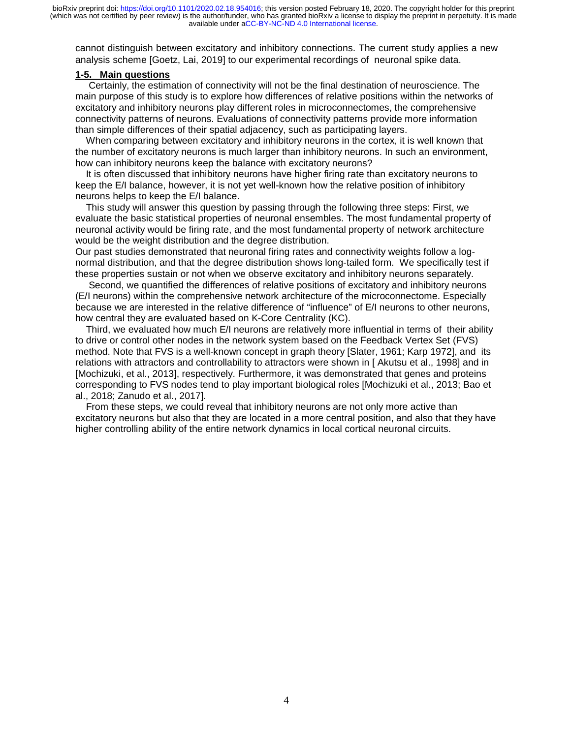cannot distinguish between excitatory and inhibitory connections. The current study applies a new analysis scheme [Goetz, Lai, 2019] to our experimental recordings of neuronal spike data.

### **1-5. Main questions**

 Certainly, the estimation of connectivity will not be the final destination of neuroscience. The main purpose of this study is to explore how differences of relative positions within the networks of excitatory and inhibitory neurons play different roles in microconnectomes, the comprehensive connectivity patterns of neurons. Evaluations of connectivity patterns provide more information than simple differences of their spatial adjacency, such as participating layers.

 When comparing between excitatory and inhibitory neurons in the cortex, it is well known that the number of excitatory neurons is much larger than inhibitory neurons. In such an environment, how can inhibitory neurons keep the balance with excitatory neurons?

 It is often discussed that inhibitory neurons have higher firing rate than excitatory neurons to keep the E/I balance, however, it is not yet well-known how the relative position of inhibitory neurons helps to keep the E/I balance.

 This study will answer this question by passing through the following three steps: First, we evaluate the basic statistical properties of neuronal ensembles. The most fundamental property of neuronal activity would be firing rate, and the most fundamental property of network architecture would be the weight distribution and the degree distribution.

Our past studies demonstrated that neuronal firing rates and connectivity weights follow a lognormal distribution, and that the degree distribution shows long-tailed form. We specifically test if these properties sustain or not when we observe excitatory and inhibitory neurons separately.

 Second, we quantified the differences of relative positions of excitatory and inhibitory neurons (E/I neurons) within the comprehensive network architecture of the microconnectome. Especially because we are interested in the relative difference of "influence" of E/I neurons to other neurons, how central they are evaluated based on K-Core Centrality (KC).

 Third, we evaluated how much E/I neurons are relatively more influential in terms of their ability to drive or control other nodes in the network system based on the Feedback Vertex Set (FVS) method. Note that FVS is a well-known concept in graph theory [Slater, 1961; Karp 1972], and its relations with attractors and controllability to attractors were shown in [ Akutsu et al., 1998] and in [Mochizuki, et al., 2013], respectively. Furthermore, it was demonstrated that genes and proteins corresponding to FVS nodes tend to play important biological roles [Mochizuki et al., 2013; Bao et al., 2018; Zanudo et al., 2017].

 From these steps, we could reveal that inhibitory neurons are not only more active than excitatory neurons but also that they are located in a more central position, and also that they have higher controlling ability of the entire network dynamics in local cortical neuronal circuits.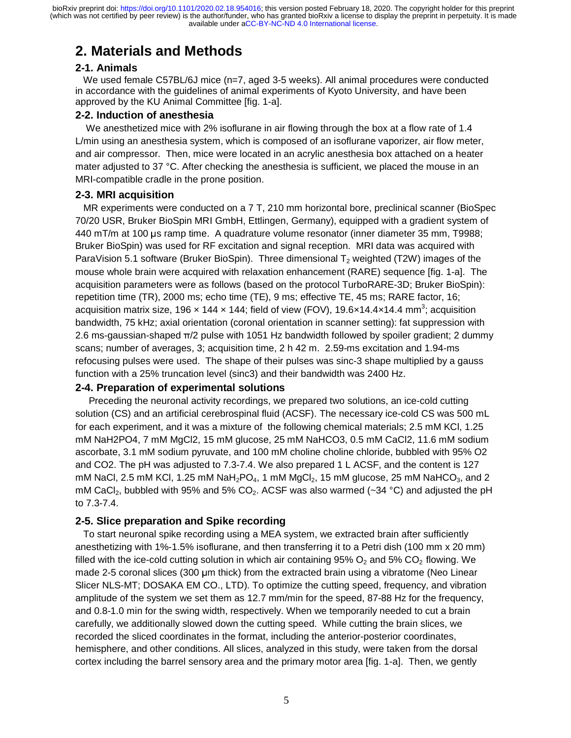# **2. Materials and Methods**

## **2-1. Animals**

We used female C57BL/6J mice (n=7, aged 3-5 weeks). All animal procedures were conducted in accordance with the guidelines of animal experiments of Kyoto University, and have been approved by the KU Animal Committee [fig. 1-a].

## **2-2. Induction of anesthesia**

We anesthetized mice with 2% isoflurane in air flowing through the box at a flow rate of 1.4 L/min using an anesthesia system, which is composed of an isoflurane vaporizer, air flow meter, and air compressor. Then, mice were located in an acrylic anesthesia box attached on a heater mater adjusted to 37 °C. After checking the anesthesia is sufficient, we placed the mouse in an MRI-compatible cradle in the prone position.

## **2-3. MRI acquisition**

 MR experiments were conducted on a 7 T, 210 mm horizontal bore, preclinical scanner (BioSpec 70/20 USR, Bruker BioSpin MRI GmbH, Ettlingen, Germany), equipped with a gradient system of 440 mT/m at 100 μs ramp time. A quadrature volume resonator (inner diameter 35 mm, T9988; Bruker BioSpin) was used for RF excitation and signal reception. MRI data was acquired with ParaVision 5.1 software (Bruker BioSpin). Three dimensional  $T_2$  weighted (T2W) images of the mouse whole brain were acquired with relaxation enhancement (RARE) sequence [fig. 1-a]. The acquisition parameters were as follows (based on the protocol TurboRARE-3D; Bruker BioSpin): repetition time (TR), 2000 ms; echo time (TE), 9 ms; effective TE, 45 ms; RARE factor, 16; acquisition matrix size, 196 x 144 x 144; field of view (FOV), 19.6x14.4x14.4 mm<sup>3</sup>; acquisition bandwidth, 75 kHz; axial orientation (coronal orientation in scanner setting): fat suppression with 2.6 ms-gaussian-shaped  $\pi/2$  pulse with 1051 Hz bandwidth followed by spoiler gradient; 2 dummy scans; number of averages, 3; acquisition time, 2 h 42 m. 2.59-ms excitation and 1.94-ms refocusing pulses were used. The shape of their pulses was sinc-3 shape multiplied by a gauss function with a 25% truncation level (sinc3) and their bandwidth was 2400 Hz.

## **2-4. Preparation of experimental solutions**

 Preceding the neuronal activity recordings, we prepared two solutions, an ice-cold cutting solution (CS) and an artificial cerebrospinal fluid (ACSF). The necessary ice-cold CS was 500 mL for each experiment, and it was a mixture of the following chemical materials; 2.5 mM KCl, 1.25 mM NaH2PO4, 7 mM MgCl2, 15 mM glucose, 25 mM NaHCO3, 0.5 mM CaCl2, 11.6 mM sodium ascorbate, 3.1 mM sodium pyruvate, and 100 mM choline choline chloride, bubbled with 95% O2 and CO2. The pH was adjusted to 7.3-7.4. We also prepared 1 L ACSF, and the content is 127 mM NaCl, 2.5 mM KCl, 1.25 mM NaH<sub>2</sub>PO<sub>4</sub>, 1 mM MgCl<sub>2</sub>, 15 mM glucose, 25 mM NaHCO<sub>3</sub>, and 2 mM CaCl<sub>2</sub>, bubbled with 95% and 5% CO<sub>2</sub>. ACSF was also warmed ( $\sim$ 34 °C) and adjusted the pH to 7.3-7.4.

## **2-5. Slice preparation and Spike recording**

 To start neuronal spike recording using a MEA system, we extracted brain after sufficiently anesthetizing with 1%-1.5% isoflurane, and then transferring it to a Petri dish (100 mm x 20 mm) filled with the ice-cold cutting solution in which air containing 95%  $O_2$  and 5%  $CO_2$  flowing. We made 2-5 coronal slices (300 μm thick) from the extracted brain using a vibratome (Neo Linear Slicer NLS-MT; DOSAKA EM CO., LTD). To optimize the cutting speed, frequency, and vibration amplitude of the system we set them as 12.7 mm/min for the speed, 87-88 Hz for the frequency, and 0.8-1.0 min for the swing width, respectively. When we temporarily needed to cut a brain carefully, we additionally slowed down the cutting speed. While cutting the brain slices, we recorded the sliced coordinates in the format, including the anterior-posterior coordinates, hemisphere, and other conditions. All slices, analyzed in this study, were taken from the dorsal cortex including the barrel sensory area and the primary motor area [fig. 1-a]. Then, we gently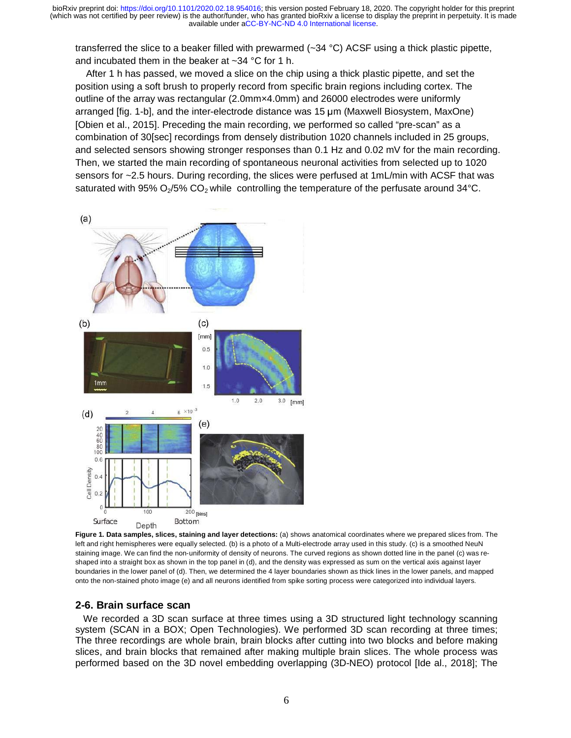transferred the slice to a beaker filled with prewarmed (~34 °C) ACSF using a thick plastic pipette, and incubated them in the beaker at ~34 °C for 1 h.

 After 1 h has passed, we moved a slice on the chip using a thick plastic pipette, and set the position using a soft brush to properly record from specific brain regions including cortex. The outline of the array was rectangular (2.0mm×4.0mm) and 26000 electrodes were uniformly arranged [fig. 1-b], and the inter-electrode distance was 15 μm (Maxwell Biosystem, MaxOne) [Obien et al., 2015]. Preceding the main recording, we performed so called "pre-scan" as a combination of 30[sec] recordings from densely distribution 1020 channels included in 25 groups, and selected sensors showing stronger responses than 0.1 Hz and 0.02 mV for the main recording. Then, we started the main recording of spontaneous neuronal activities from selected up to 1020 sensors for ~2.5 hours. During recording, the slices were perfused at 1mL/min with ACSF that was saturated with 95%  $O_2/5\%$  CO<sub>2</sub> while controlling the temperature of the perfusate around 34°C.



**Figure 1. Data samples, slices, staining and layer detections:** (a) shows anatomical coordinates where we prepared slices from. The left and right hemispheres were equally selected. (b) is a photo of a Multi-electrode array used in this study. (c) is a smoothed NeuN staining image. We can find the non-uniformity of density of neurons. The curved regions as shown dotted line in the panel (c) was reshaped into a straight box as shown in the top panel in (d), and the density was expressed as sum on the vertical axis against layer boundaries in the lower panel of (d). Then, we determined the 4 layer boundaries shown as thick lines in the lower panels, and mapped onto the non-stained photo image (e) and all neurons identified from spike sorting process were categorized into individual layers.

## **2-6. Brain surface scan**

 We recorded a 3D scan surface at three times using a 3D structured light technology scanning system (SCAN in a BOX; Open Technologies). We performed 3D scan recording at three times; The three recordings are whole brain, brain blocks after cutting into two blocks and before making slices, and brain blocks that remained after making multiple brain slices. The whole process was performed based on the 3D novel embedding overlapping (3D-NEO) protocol [Ide al., 2018]; The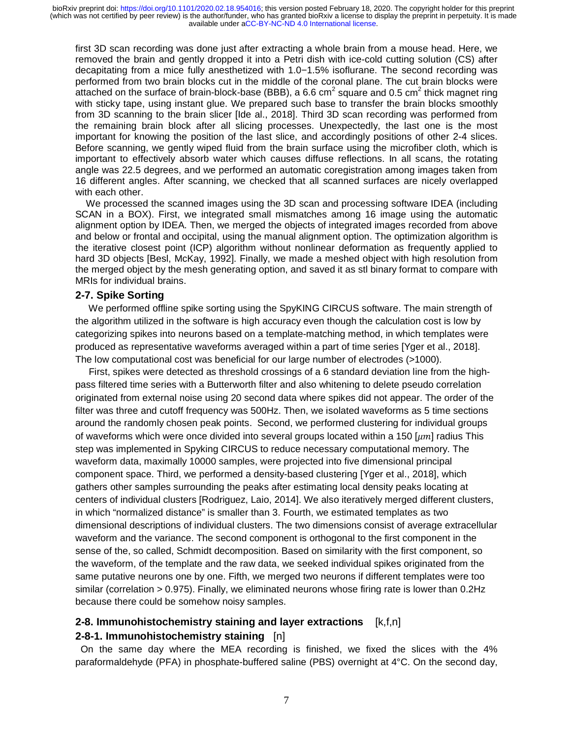first 3D scan recording was done just after extracting a whole brain from a mouse head. Here, we removed the brain and gently dropped it into a Petri dish with ice-cold cutting solution (CS) after decapitating from a mice fully anesthetized with 1.0−1.5% isoflurane. The second recording was performed from two brain blocks cut in the middle of the coronal plane. The cut brain blocks were attached on the surface of brain-block-base (BBB), a 6.6 cm<sup>2</sup> square and 0.5 cm<sup>2</sup> thick magnet ring with sticky tape, using instant glue. We prepared such base to transfer the brain blocks smoothly from 3D scanning to the brain slicer [Ide al., 2018]. Third 3D scan recording was performed from the remaining brain block after all slicing processes. Unexpectedly, the last one is the most important for knowing the position of the last slice, and accordingly positions of other 2-4 slices. Before scanning, we gently wiped fluid from the brain surface using the microfiber cloth, which is important to effectively absorb water which causes diffuse reflections. In all scans, the rotating angle was 22.5 degrees, and we performed an automatic coregistration among images taken from 16 different angles. After scanning, we checked that all scanned surfaces are nicely overlapped with each other.

 We processed the scanned images using the 3D scan and processing software IDEA (including SCAN in a BOX). First, we integrated small mismatches among 16 image using the automatic alignment option by IDEA. Then, we merged the objects of integrated images recorded from above and below or frontal and occipital, using the manual alignment option. The optimization algorithm is the iterative closest point (ICP) algorithm without nonlinear deformation as frequently applied to hard 3D objects [Besl, McKay, 1992]. Finally, we made a meshed object with high resolution from the merged object by the mesh generating option, and saved it as stl binary format to compare with MRIs for individual brains.

#### **2-7. Spike Sorting**

 We performed offline spike sorting using the SpyKING CIRCUS software. The main strength of the algorithm utilized in the software is high accuracy even though the calculation cost is low by categorizing spikes into neurons based on a template-matching method, in which templates were produced as representative waveforms averaged within a part of time series [Yger et al., 2018]. The low computational cost was beneficial for our large number of electrodes (>1000).

 First, spikes were detected as threshold crossings of a 6 standard deviation line from the highpass filtered time series with a Butterworth filter and also whitening to delete pseudo correlation originated from external noise using 20 second data where spikes did not appear. The order of the filter was three and cutoff frequency was 500Hz. Then, we isolated waveforms as 5 time sections around the randomly chosen peak points. Second, we performed clustering for individual groups of waveforms which were once divided into several groups located within a 150  $[\mu m]$  radius This step was implemented in Spyking CIRCUS to reduce necessary computational memory. The waveform data, maximally 10000 samples, were projected into five dimensional principal component space. Third, we performed a density-based clustering [Yger et al., 2018], which gathers other samples surrounding the peaks after estimating local density peaks locating at centers of individual clusters [Rodriguez, Laio, 2014]. We also iteratively merged different clusters, in which "normalized distance" is smaller than 3. Fourth, we estimated templates as two dimensional descriptions of individual clusters. The two dimensions consist of average extracellular waveform and the variance. The second component is orthogonal to the first component in the sense of the, so called, Schmidt decomposition. Based on similarity with the first component, so the waveform, of the template and the raw data, we seeked individual spikes originated from the same putative neurons one by one. Fifth, we merged two neurons if different templates were too similar (correlation > 0.975). Finally, we eliminated neurons whose firing rate is lower than 0.2Hz because there could be somehow noisy samples.

## **2-8. Immunohistochemistry staining and layer extractions** [k,f,n] **2-8-1. Immunohistochemistry staining** [n]

 On the same day where the MEA recording is finished, we fixed the slices with the 4% paraformaldehyde (PFA) in phosphate-buffered saline (PBS) overnight at 4°C. On the second day,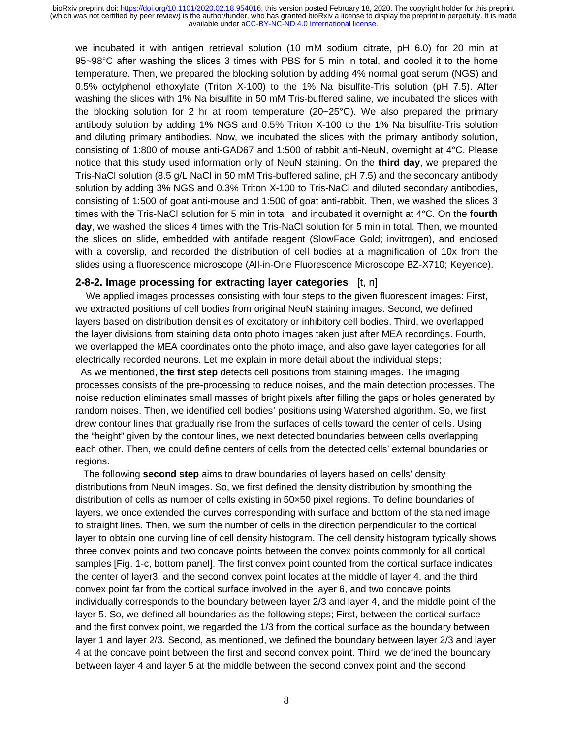we incubated it with antigen retrieval solution (10 mM sodium citrate, pH 6.0) for 20 min at 95~98°C after washing the slices 3 times with PBS for 5 min in total, and cooled it to the home temperature. Then, we prepared the blocking solution by adding 4% normal goat serum (NGS) and 0.5% octylphenol ethoxylate (Triton X-100) to the 1% Na bisulfite-Tris solution (pH 7.5). After washing the slices with 1% Na bisulfite in 50 mM Tris-buffered saline, we incubated the slices with the blocking solution for 2 hr at room temperature (20~25°C). We also prepared the primary antibody solution by adding 1% NGS and 0.5% Triton X-100 to the 1% Na bisulfite-Tris solution and diluting primary antibodies. Now, we incubated the slices with the primary antibody solution, consisting of 1:800 of mouse anti-GAD67 and 1:500 of rabbit anti-NeuN, overnight at 4°C. Please notice that this study used information only of NeuN staining. On the **third day**, we prepared the Tris-NaCl solution (8.5 g/L NaCl in 50 mM Tris-buffered saline, pH 7.5) and the secondary antibody solution by adding 3% NGS and 0.3% Triton X-100 to Tris-NaCl and diluted secondary antibodies, consisting of 1:500 of goat anti-mouse and 1:500 of goat anti-rabbit. Then, we washed the slices 3 times with the Tris-NaCl solution for 5 min in total and incubated it overnight at 4°C. On the **fourth day**, we washed the slices 4 times with the Tris-NaCl solution for 5 min in total. Then, we mounted the slices on slide, embedded with antifade reagent (SlowFade Gold; invitrogen), and enclosed with a coverslip, and recorded the distribution of cell bodies at a magnification of 10x from the slides using a fluorescence microscope (All-in-One Fluorescence Microscope BZ-X710; Keyence).

#### **2-8-2. Image processing for extracting layer categories** [t, n]

 We applied images processes consisting with four steps to the given fluorescent images: First, we extracted positions of cell bodies from original NeuN staining images. Second, we defined layers based on distribution densities of excitatory or inhibitory cell bodies. Third, we overlapped the layer divisions from staining data onto photo images taken just after MEA recordings. Fourth, we overlapped the MEA coordinates onto the photo image, and also gave layer categories for all electrically recorded neurons. Let me explain in more detail about the individual steps;

 As we mentioned, **the first step** detects cell positions from staining images. The imaging processes consists of the pre-processing to reduce noises, and the main detection processes. The noise reduction eliminates small masses of bright pixels after filling the gaps or holes generated by random noises. Then, we identified cell bodies' positions using Watershed algorithm. So, we first drew contour lines that gradually rise from the surfaces of cells toward the center of cells. Using the "height" given by the contour lines, we next detected boundaries between cells overlapping each other. Then, we could define centers of cells from the detected cells' external boundaries or regions.

 The following **second step** aims to draw boundaries of layers based on cells' density distributions from NeuN images. So, we first defined the density distribution by smoothing the distribution of cells as number of cells existing in 50×50 pixel regions. To define boundaries of layers, we once extended the curves corresponding with surface and bottom of the stained image to straight lines. Then, we sum the number of cells in the direction perpendicular to the cortical layer to obtain one curving line of cell density histogram. The cell density histogram typically shows three convex points and two concave points between the convex points commonly for all cortical samples [Fig. 1-c, bottom panel]. The first convex point counted from the cortical surface indicates the center of layer3, and the second convex point locates at the middle of layer 4, and the third convex point far from the cortical surface involved in the layer 6, and two concave points individually corresponds to the boundary between layer 2/3 and layer 4, and the middle point of the layer 5. So, we defined all boundaries as the following steps; First, between the cortical surface and the first convex point, we regarded the 1/3 from the cortical surface as the boundary between layer 1 and layer 2/3. Second, as mentioned, we defined the boundary between layer 2/3 and layer 4 at the concave point between the first and second convex point. Third, we defined the boundary between layer 4 and layer 5 at the middle between the second convex point and the second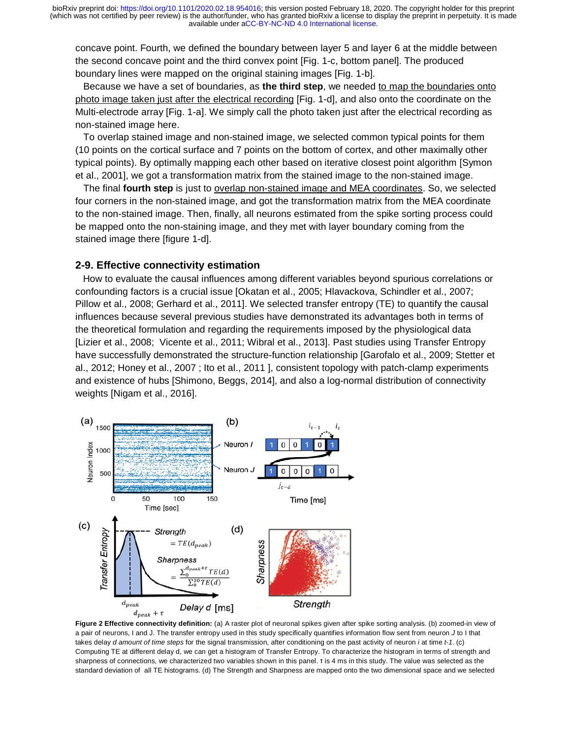concave point. Fourth, we defined the boundary between layer 5 and layer 6 at the middle between the second concave point and the third convex point [Fig. 1-c, bottom panel]. The produced boundary lines were mapped on the original staining images [Fig. 1-b].

Because we have a set of boundaries, as the third step, we needed to map the boundaries onto photo image taken just after the electrical recording [Fig. 1-d], and also onto the coordinate on the Multi-electrode array [Fig. 1-a]. We simply call the photo taken just after the electrical recording as non-stained image here.

 To overlap stained image and non-stained image, we selected common typical points for them (10 points on the cortical surface and 7 points on the bottom of cortex, and other maximally other typical points). By optimally mapping each other based on iterative closest point algorithm [Symon et al., 2001], we got a transformation matrix from the stained image to the non-stained image.

 The final **fourth step** is just to overlap non-stained image and MEA coordinates. So, we selected four corners in the non-stained image, and got the transformation matrix from the MEA coordinate to the non-stained image. Then, finally, all neurons estimated from the spike sorting process could be mapped onto the non-staining image, and they met with layer boundary coming from the stained image there [figure 1-d].

#### **2-9. Effective connectivity estimation**

 How to evaluate the causal influences among different variables beyond spurious correlations or confounding factors is a crucial issue [Okatan et al., 2005; Hlavackova, Schindler et al., 2007; Pillow et al., 2008; Gerhard et al., 2011]. We selected transfer entropy (TE) to quantify the causal influences because several previous studies have demonstrated its advantages both in terms of the theoretical formulation and regarding the requirements imposed by the physiological data [Lizier et al., 2008; Vicente et al., 2011; Wibral et al., 2013]. Past studies using Transfer Entropy have successfully demonstrated the structure-function relationship [Garofalo et al., 2009; Stetter et al., 2012; Honey et al., 2007 ; Ito et al., 2011 ], consistent topology with patch-clamp experiments and existence of hubs [Shimono, Beggs, 2014], and also a log-normal distribution of connectivity weights [Nigam et al., 2016]. analable under aCC-BY-NC-ND-4.0 International license.<br>
defined the boundary between layer 6 and dayer 6 and the middle between<br>
each of the boundary between layer 5 and tapping and line of the production<br>
and the form of



 **Figure 2 Effective connectivity definition:** (a) A raster plot of neuronal spikes given after spike sorting analysis. (b) zoomed-in view of a pair of neurons, I and J. The transfer entropy used in this study specifically quantifies information flow sent from neuron *J* to I that takes delay *d amount of time steps* for the signal transmission, after conditioning on the past activity of neuron *i* at time *t-1*. (c) Computing TE at different delay d, we can get a histogram of Transfer Entropy. To characterize the histogram in terms of strength and sharpness of connections, we characterized two variables shown in this panel. τ is 4 ms in this study. The value was selected as the standard deviation of all TE histograms. (d) The Strength and Sharpness are mapped onto the two dimensional space and we selected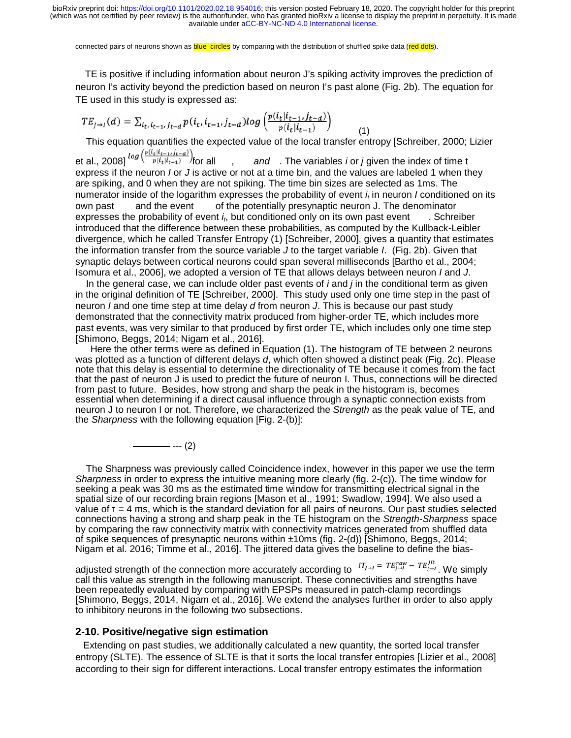connected pairs of neurons shown as **blue circles** by comparing with the distribution of shuffled spike data (red dots).

 TE is positive if including information about neuron J's spiking activity improves the prediction of neuron I's activity beyond the prediction based on neuron I's past alone (Fig. 2b). The equation for TE used in this study is expressed as:

$$
TE_{J \to I}(d) = \sum_{i_t, i_{t-1}, j_{t-d}} p(i_t, i_{t-1}, j_{t-d}) log \left( \frac{p(i_t | i_{t-1}, j_{t-d})}{p(i_t | i_{t-1})} \right)
$$
(1)

This equation quantifies the expected value of the local transfer entropy [Schreiber, 2000; Lizier<br>et al., 2008]  $log \left( \frac{p(i_t|i_{t-1},j_{t-d})}{p(i_t|i_{t-1})} \right)$  for all  $q(t)$ , and The variables *i* or *j* given the index of time t

and . The variables *i* or *j* given the index of time t express if the neuron *I* or *J* is active or not at a time bin, and the values are labeled 1 when they are spiking, and 0 when they are not spiking. The time bin sizes are selected as 1ms. The numerator inside of the logarithm expresses the probability of event  $i_t$  in neuron *I* conditioned on its own past and the event of the potentially presynaptic neuron J. The denominator of the potentially presynaptic neuron J. The denominator expresses the probability of event *it*, but conditioned only on its own past event . Schreiber introduced that the difference between these probabilities, as computed by the Kullback-Leibler divergence, which he called Transfer Entropy (1) [Schreiber, 2000], gives a quantity that estimates the information transfer from the source variable *J* to the target variable *I*. (Fig. 2b). Given that synaptic delays between cortical neurons could span several milliseconds [Bartho et al., 2004; Isomura et al., 2006], we adopted a version of TE that allows delays between neuron *I* and *J*. available under aCC-BY-NC-ND 4.0 International terms.<br> **EDE arises** or considerable under according to the distribution of such that is the set of the prediction of<br> **Information about neuron 1.5 spiking activity improves** 

 In the general case, we can include older past events of *i* and *j* in the conditional term as given in the original definition of TE [Schreiber, 2000]. This study used only one time step in the past of neuron *I* and one time step at time delay *d* from neuron *J*. This is because our past study demonstrated that the connectivity matrix produced from higher-order TE, which includes more past events, was very similar to that produced by first order TE, which includes only one time step [Shimono, Beggs, 2014; Nigam et al., 2016].

 Here the other terms were as defined in Equation (1). The histogram of TE between 2 neurons was plotted as a function of different delays *d*, which often showed a distinct peak (Fig. 2c). Please note that this delay is essential to determine the directionality of TE because it comes from the fact that the past of neuron J is used to predict the future of neuron I. Thus, connections will be directed from past to future. Besides, how strong and sharp the peak in the histogram is, becomes essential when determining if a direct causal influence through a synaptic connection exists from neuron J to neuron I or not. Therefore, we characterized the *Strength* as the peak value of TE, and the *Sharpness* with the following equation [Fig. 2-(b)]: tts ss e lift politis ssenderd and m ded ce

 $-$  --- (2)

 The Sharpness was previously called Coincidence index, however in this paper we use the term *Sharpness* in order to express the intuitive meaning more clearly (fig. 2-(c)). The time window for seeking a peak was 30 ms as the estimated time window for transmitting electrical signal in the spatial size of our recording brain regions [Mason et al., 1991; Swadlow, 1994]. We also used a value of  $\tau = 4$  ms, which is the standard deviation for all pairs of neurons. Our past studies selected connections having a strong and sharp peak in the TE histogram on the *Strength-Sharpness* space by comparing the raw connectivity matrix with connectivity matrices generated from shuffled data of spike sequences of presynaptic neurons within ±10ms (fig. 2-(d)) [Shimono, Beggs, 2014; Nigam et al. 2016; Timme et al., 2016]. The jittered data gives the baseline to define the bias-

adjusted strength of the connection more accurately according to  $I_{T_{j\to i}} = TE_{j\to i}^{raw} - TE_{j\to i}^{jit}$ . We simply call this value as strength in the following manuscript. These connectivities and strengths have been repeatedly evaluated by comparing with EPSPs measured in patch-clamp recordings [Shimono, Beggs, 2014, Nigam et al., 2016]. We extend the analyses further in order to also apply to inhibitory neurons in the following two subsections.

#### **2-10. Positive/negative sign estimation**

 Extending on past studies, we additionally calculated a new quantity, the sorted local transfer entropy (SLTE). The essence of SLTE is that it sorts the local transfer entropies [Lizier et al., 2008] according to their sign for different interactions. Local transfer entropy estimates the information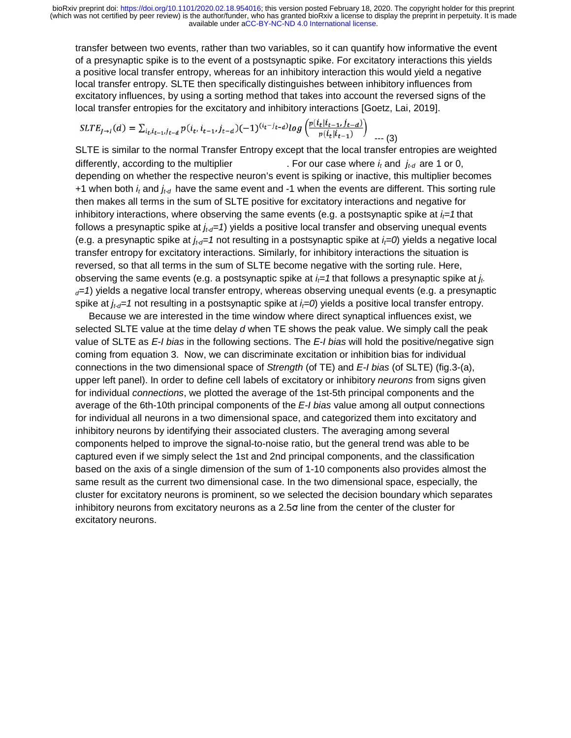transfer between two events, rather than two variables, so it can quantify how informative the event nt of a presynaptic spike is to the event of a postsynaptic spike. For excitatory interactions this yields a positive local transfer entropy, whereas for an inhibitory interaction this would yield a negative local transfer entropy. SLTE then specifically distinguishes between inhibitory influences from excitatory influences, by using a sorting method that takes into account the reversed signs of the local transfer entropies for the excitatory and inhibitory interactions [Goetz, Lai, 2019].

$$
SLTE_{J\to I}(d) = \sum_{i_t, i_{t-1}, j_{t-d}} p(i_t, i_{t-1}, j_{t-d}) (-1)^{(i_t - j_{t-d})} \log \left( \frac{p(i_t | i_{t-1}, j_{t-d})}{p(i_t | i_{t-1})} \right) \tag{3}
$$

SLTE is similar to the normal Transfer Entropy except that the local transfer entropies are weighted differently, according to the multiplier  $\blacksquare$ . For our case where  $i_t$  and  $j_{t-d}$  are 1 or 0, depending on whether the respective neuron's event is spiking or inactive, this multiplier becomes +1 when both *it* and *jt-d* have the same event and -1 when the events are different. This sorting rule then makes all terms in the sum of SLTE positive for excitatory interactions and negative for inhibitory interactions, where observing the same events (e.g. a postsynaptic spike at  $i=1$  that follows a presynaptic spike at  $j_{t-d}=1$  yields a positive local transfer and observing unequal events (e.g. a presynaptic spike at  $j_{td}=1$  not resulting in a postsynaptic spike at  $i_t=0$ ) yields a negative local transfer entropy for excitatory interactions. Similarly, for inhibitory interactions the situation is reversed, so that all terms in the sum of SLTE become negative with the sorting rule. Here, observing the same events (e.g. a postsynaptic spike at  $i = 1$  that follows a presynaptic spike at  $j_t$ *d=1*) yields a negative local transfer entropy, whereas observing unequal events (e.g. a presynaptic spike at  $j_{td}=1$  not resulting in a postsynaptic spike at  $j=0$  yields a positive local transfer entropy. available under [aCC-BY-NC-ND 4.0 International license.](http://creativecommons.org/licenses/by-nc-nd/4.0/)<br>
ts, rather than two variables, so it can quantify how informative the event<br>
the event of a postsynaptic splike. For excitatory interactions this yields<br>
tropy, whe

 Because we are interested in the time window where direct synaptical influences exist, we selected SLTE value at the time delay *d* when TE shows the peak value. We simply call the peak value of SLTE as *E-I bias* in the following sections. The *E-I bias* will hold the positive/negative sign coming from equation 3. Now, we can discriminate excitation or inhibition bias for individual connections in the two dimensional space of *Strength* (of TE) and *E-I bias* (of SLTE) (fig.3-(a), upper left panel). In order to define cell labels of excitatory or inhibitory *neurons* from signs given for individual *connections*, we plotted the average of the 1st-5th principal components and the average of the 6th-10th principal components of the *E-I bias* value among all output connections for individual all neurons in a two dimensional space, and categorized them into excitatory and inhibitory neurons by identifying their associated clusters. The averaging among several components helped to improve the signal-to-noise ratio, but the general trend was able to be captured even if we simply select the 1st and 2nd principal components, and the classification based on the axis of a single dimension of the sum of 1-10 components also provides almost the same result as the current two dimensional case. In the two dimensional space, especially, the cluster for excitatory neurons is prominent, so we selected the decision boundary which separates inhibitory neurons from excitatory neurons as a 2.5σ line from the center of the cluster for excitatory neurons.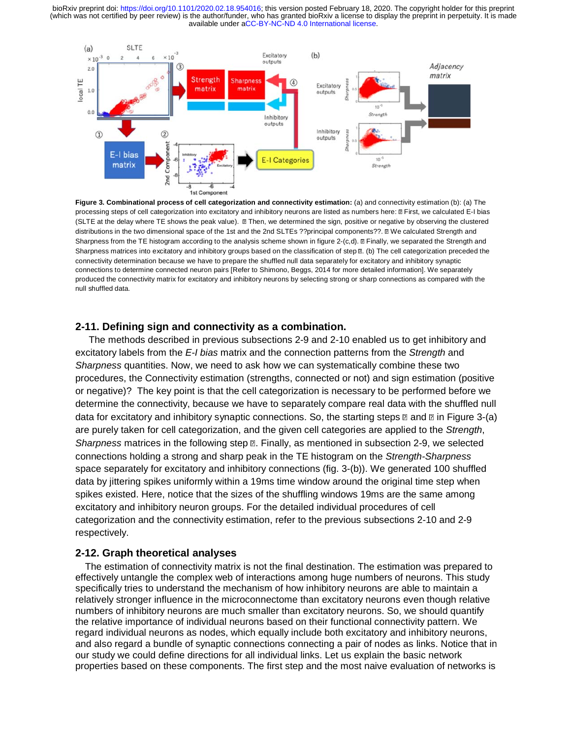

**Figure 3. Combinational process of cell categorization and connectivity estimation:** (a) and connectivity estimation (b): (a) The processing steps of cell categorization into excitatory and inhibitory neurons are listed as numbers here:  $\mathbb B$  First, we calculated E-I bias (SLTE at the delay where TE shows the peak value).  $\Box$  Then, we determined the sign, positive or negative by observing the clustered distributions in the two dimensional space of the 1st and the 2nd SLTEs ??principal components??. II We calculated Strength and Sharpness from the TE histogram according to the analysis scheme shown in figure 2-(c,d). II Finally, we separated the Strength and Sharpness matrices into excitatory and inhibitory groups based on the classification of step  $\mathbb B$ . (b) The cell categorization preceded the connectivity determination because we have to prepare the shuffled null data separately for excitatory and inhibitory synaptic connections to determine connected neuron pairs [Refer to Shimono, Beggs, 2014 for more detailed information]. We separately produced the connectivity matrix for excitatory and inhibitory neurons by selecting strong or sharp connections as compared with the null shuffled data.

#### **2-11. Defining sign and connectivity as a combination.**

 The methods described in previous subsections 2-9 and 2-10 enabled us to get inhibitory and excitatory labels from the *E-I bias* matrix and the connection patterns from the *Strength* and *Sharpness* quantities. Now, we need to ask how we can systematically combine these two procedures, the Connectivity estimation (strengths, connected or not) and sign estimation (positive or negative)? The key point is that the cell categorization is necessary to be performed before we procedures, the Connectivity estimation (strengths, connected or not) and sign estimation (positive<br>or negative)? The key point is that the cell categorization is necessary to be performed before we<br>determine the connecti data for excitatory and inhibitory synaptic connections. So, the starting steps **a** and **a** in Figure 3-(a) distance in Figure 3-(a) and a the Stream of the Stream of the Stream of the Stream of the Stream of the Stream of are purely taken for cell categorization, and the given cell categories are applied to the *Strength*, Sharpness matrices in the following step **n**. Finally, as mentioned in subsection 2-9, we selected connections holding a strong and sharp peak in the TE histogram on the *Strength-Sharpness* space separately for excitatory and inhibitory connections (fig. 3-(b)). We generated 100 shuffled data by jittering spikes uniformly within a 19ms time window around the original time step when spikes existed. Here, notice that the sizes of the shuffling windows 19ms are the same among excitatory and inhibitory neuron groups. For the detailed individual procedures of cell categorization and the connectivity estimation, refer to the previous subsections 2-10 and 2-9 respectively.

#### **2-12. Graph theoretical analyses**

 The estimation of connectivity matrix is not the final destination. The estimation was prepared to effectively untangle the complex web of interactions among huge numbers of neurons. This study specifically tries to understand the mechanism of how inhibitory neurons are able to maintain a relatively stronger influence in the microconnectome than excitatory neurons even though relative numbers of inhibitory neurons are much smaller than excitatory neurons. So, we should quantify the relative importance of individual neurons based on their functional connectivity pattern. We regard individual neurons as nodes, which equally include both excitatory and inhibitory neurons, and also regard a bundle of synaptic connections connecting a pair of nodes as links. Notice that in our study we could define directions for all individual links. Let us explain the basic network properties based on these components. The first step and the most naive evaluation of networks is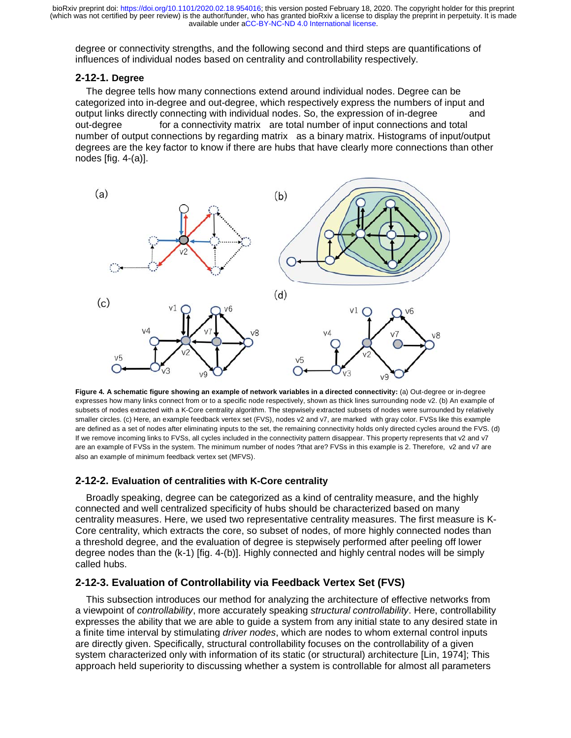degree or connectivity strengths, and the following second and third steps are quantifications of influences of individual nodes based on centrality and controllability respectively.

#### **2-12-1. Degree**

 The degree tells how many connections extend around individual nodes. Degree can be categorized into in-degree and out-degree, which respectively express the numbers of input and output links directly connecting with individual nodes. So, the expression of in-degree and out-degree for a connectivity matrix are total number of input connections and total number of output connections by regarding matrix as a binary matrix. Histograms of input/output degrees are the key factor to know if there are hubs that have clearly more connections than other nodes [fig. 4-(a)].



**Figure 4. A schematic figure showing an example of network variables in a directed connectivity:** (a) Out-degree or in-degree expresses how many links connect from or to a specific node respectively, shown as thick lines surrounding node v2. (b) An example of subsets of nodes extracted with a K-Core centrality algorithm. The stepwisely extracted subsets of nodes were surrounded by relatively smaller circles. (c) Here, an example feedback vertex set (FVS), nodes v2 and v7, are marked with gray color. FVSs like this example expresses how many links connect from or to a specific node respectively, shown as thick lines surrounding node v2. (b) An example of<br>subsets of nodes extracted with a K-Core centrality algorithm. The stepwisely extracted If we remove incoming links to FVSs, all cycles included in the connectivity pattern disappear. This property represents that v2 and v7 are an example of FVSs in the system. The minimum number of nodes ?that are? FVSs in this example is 2. Therefore, v2 and v7 are also an example of minimum feedback vertex set (MFVS).

#### **2-12-2. Evaluation of centralities with K-Core centrality**

 Broadly speaking, degree can be categorized as a kind of centrality measure, and the highly connected and well centralized specificity of hubs should be characterized based on many centrality measures. Here, we used two representative centrality measures. The first measure is K-- Core centrality, which extracts the core, so subset of nodes, of more highly connected nodes than a threshold degree, and the evaluation of degree is stepwisely performed after peeling off lower degree nodes than the (k-1) [fig. 4-(b)]. Highly connected and highly central nodes will be simply called hubs.

## **2-12-3. Evaluation of Controllability via Feedback Vertex Set (FVS)**

 This subsection introduces our method for analyzing the architecture of effective networks from a viewpoint of *controllability*, more accurately speaking *structural controllability*. Here, controllability a viewpoint of *controllability*, more accurately speaking *structural controllability*. Here, controllability<br>expresses the ability that we are able to guide a system from any initial state to any desired state in a finite time interval by stimulating *driver nodes*, which are nodes to whom external control inputs are directly given. Specifically, structural controllability focuses on the controllability of a given system characterized only with information of its static (or structural) architecture [Lin, 1974]; This approach held superiority to discussing whether a system is controllable for almost all parameters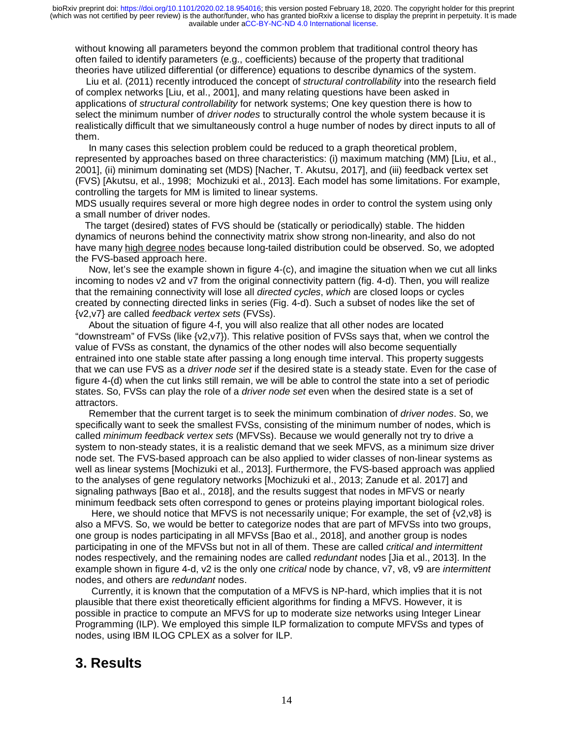without knowing all parameters beyond the common problem that traditional control theory has often failed to identify parameters (e.g., coefficients) because of the property that traditional theories have utilized differential (or difference) equations to describe dynamics of the system.

 Liu et al. (2011) recently introduced the concept of *structural controllability* into the research field of complex networks [Liu, et al., 2001], and many relating questions have been asked in applications of *structural controllability* for network systems; One key question there is how to select the minimum number of *driver nodes* to structurally control the whole system because it is realistically difficult that we simultaneously control a huge number of nodes by direct inputs to all of them.

 In many cases this selection problem could be reduced to a graph theoretical problem, represented by approaches based on three characteristics: (i) maximum matching (MM) [Liu, et al., 2001], (ii) minimum dominating set (MDS) [Nacher, T. Akutsu, 2017], and (iii) feedback vertex set (FVS) [Akutsu, et al., 1998; Mochizuki et al., 2013]. Each model has some limitations. For example, controlling the targets for MM is limited to linear systems.

MDS usually requires several or more high degree nodes in order to control the system using only a small number of driver nodes.

 The target (desired) states of FVS should be (statically or periodically) stable. The hidden dynamics of neurons behind the connectivity matrix show strong non-linearity, and also do not have many high degree nodes because long-tailed distribution could be observed. So, we adopted the FVS-based approach here.

 Now, let's see the example shown in figure 4-(c), and imagine the situation when we cut all links incoming to nodes v2 and v7 from the original connectivity pattern (fig. 4-d). Then, you will realize that the remaining connectivity will lose all *directed cycles*, *which* are closed loops or cycles created by connecting directed links in series (Fig. 4-d). Such a subset of nodes like the set of {v2,v7} are called *feedback vertex sets* (FVSs).

 About the situation of figure 4-f, you will also realize that all other nodes are located "downstream" of FVSs (like {v2,v7}). This relative position of FVSs says that, when we control the value of FVSs as constant, the dynamics of the other nodes will also become sequentially entrained into one stable state after passing a long enough time interval. This property suggests that we can use FVS as a *driver node set* if the desired state is a steady state. Even for the case of figure 4-(d) when the cut links still remain, we will be able to control the state into a set of periodic states. So, FVSs can play the role of a *driver node set* even when the desired state is a set of attractors.

 Remember that the current target is to seek the minimum combination of *driver nodes*. So, we specifically want to seek the smallest FVSs, consisting of the minimum number of nodes, which is called *minimum feedback vertex sets* (MFVSs). Because we would generally not try to drive a system to non-steady states, it is a realistic demand that we seek MFVS, as a minimum size driver node set. The FVS-based approach can be also applied to wider classes of non-linear systems as well as linear systems [Mochizuki et al., 2013]. Furthermore, the FVS-based approach was applied to the analyses of gene regulatory networks [Mochizuki et al., 2013; Zanude et al. 2017] and signaling pathways [Bao et al., 2018], and the results suggest that nodes in MFVS or nearly minimum feedback sets often correspond to genes or proteins playing important biological roles.

 Here, we should notice that MFVS is not necessarily unique; For example, the set of {v2,v8} is also a MFVS. So, we would be better to categorize nodes that are part of MFVSs into two groups, one group is nodes participating in all MFVSs [Bao et al., 2018], and another group is nodes participating in one of the MFVSs but not in all of them. These are called *critical and intermittent*  nodes respectively, and the remaining nodes are called *redundant* nodes [Jia et al., 2013]. In the example shown in figure 4-d, v2 is the only one *critical* node by chance, v7, v8, v9 are *intermittent* nodes, and others are *redundant* nodes.

 Currently, it is known that the computation of a MFVS is NP-hard, which implies that it is not plausible that there exist theoretically efficient algorithms for finding a MFVS. However, it is possible in practice to compute an MFVS for up to moderate size networks using Integer Linear Programming (ILP). We employed this simple ILP formalization to compute MFVSs and types of nodes, using IBM ILOG CPLEX as a solver for ILP.

## **3. Results**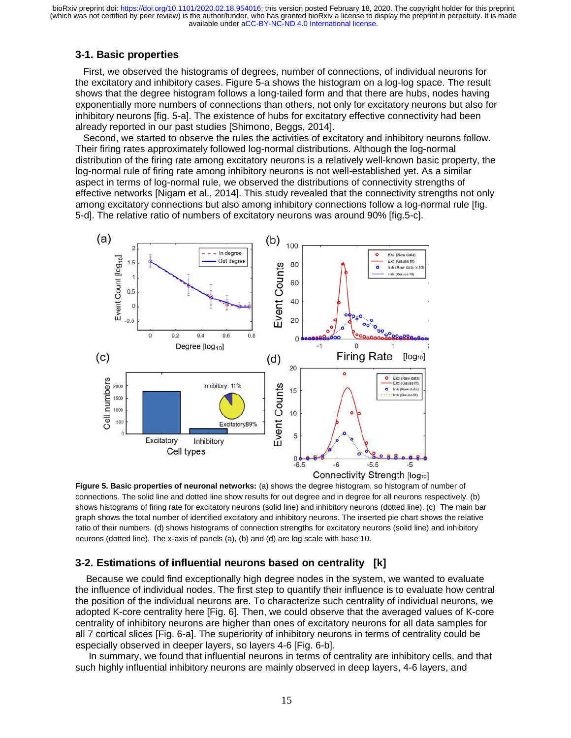## **3-1. Basic properties**

 First, we observed the histograms of degrees, number of connections, of individual neurons for the excitatory and inhibitory cases. Figure 5-a shows the histogram on a log-log space. The result shows that the degree histogram follows a long-tailed form and that there are hubs, nodes having exponentially more numbers of connections than others, not only for excitatory neurons but also for inhibitory neurons [fig. 5-a]. The existence of hubs for excitatory effective connectivity had been already reported in our past studies [Shimono, Beggs, 2014].

 Second, we started to observe the rules the activities of excitatory and inhibitory neurons follow. Their firing rates approximately followed log-normal distributions. Although the log-normal distribution of the firing rate among excitatory neurons is a relatively well-known basic property, the log-normal rule of firing rate among inhibitory neurons is not well-established yet. As a similar aspect in terms of log-normal rule, we observed the distributions of connectivity strengths of effective networks [Nigam et al., 2014]. This study revealed that the connectivity strengths not only among excitatory connections but also among inhibitory connections follow a log-normal rule [fig. 5-d]. The relative ratio of numbers of excitatory neurons was around 90% [fig.5-c].



**Figure 5. Basic properties of neuronal networks:** (a) shows the degree histogram, so histogram of number of connections. The solid line and dotted line show results for out degree and in degree for all neurons respectively. (b) shows histograms of firing rate for excitatory neurons (solid line) and inhibitory neurons (dotted line). (c) The main bar graph shows the total number of identified excitatory and inhibitory neurons. The inserted pie chart shows the relative ratio of their numbers. (d) shows histograms of connection strengths for excitatory neurons (solid line) and inhibitory neurons (dotted line). The x-axis of panels (a), (b) and (d) are log scale with base 10.

## **3-2. Estimations of influential neurons based on centrality [k]**

 Because we could find exceptionally high degree nodes in the system, we wanted to evaluate the influence of individual nodes. The first step to quantify their influence is to evaluate how central the position of the individual neurons are. To characterize such centrality of individual neurons, we adopted K-core centrality here [Fig. 6]. Then, we could observe that the averaged values of K-core centrality of inhibitory neurons are higher than ones of excitatory neurons for all data samples for all 7 cortical slices [Fig. 6-a]. The superiority of inhibitory neurons in terms of centrality could be especially observed in deeper layers, so layers 4-6 [Fig. 6-b].

 In summary, we found that influential neurons in terms of centrality are inhibitory cells, and that such highly influential inhibitory neurons are mainly observed in deep layers, 4-6 layers, and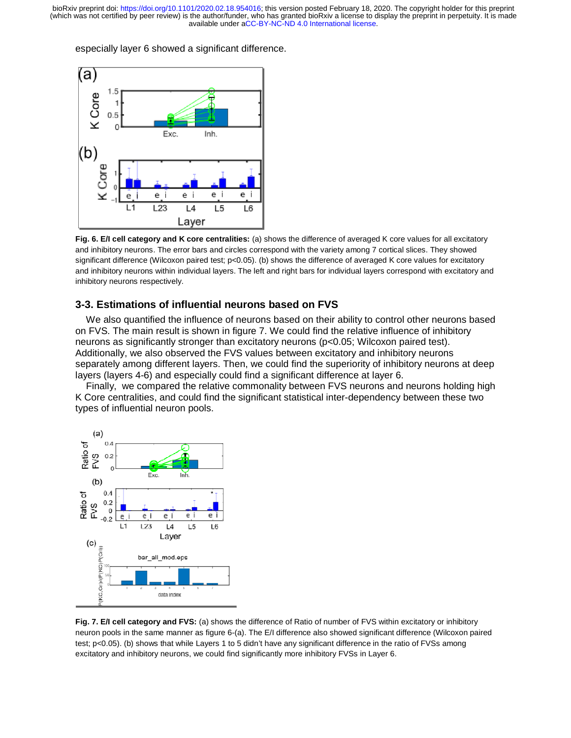(which was not certified by peer review) is the author/funder, who has granted bioRxiv a license to display the preprint in perpetuity. It is made available under aCC-BY-NC-ND 4.0 International license. bioRxiv preprint doi: [https://doi.org/10.1101/2020.02.18.954016;](https://doi.org/10.1101/2020.02.18.954016) this version posted February 18, 2020. The copyright holder for this preprint

especially layer 6 showed a significant difference.



**Fig. 6. E/I cell category and K core centralities:** (a) shows the difference of averaged K core values for all excitatory and inhibitory neurons. The error bars and circles correspond with the variety among 7 cortical slices. They showed significant difference (Wilcoxon paired test; p<0.05). (b) shows the difference of averaged K core values for excitatory and inhibitory neurons within individual layers. The left and right bars for individual layers correspond with excitatory and inhibitory neurons respectively.

#### **3-3. Estimations of influential neurons based on FVS**

 We also quantified the influence of neurons based on their ability to control other neurons based on FVS. The main result is shown in figure 7. We could find the relative influence of inhibitory neurons as significantly stronger than excitatory neurons (p<0.05; Wilcoxon paired test). Additionally, we also observed the FVS values between excitatory and inhibitory neurons separately among different layers. Then, we could find the superiority of inhibitory neurons at deep layers (layers 4-6) and especially could find a significant difference at layer 6. available under [aCC-BY-NC-ND 4.0 International license.](http://creativecommons.org/licenses/by-nc-nd/4.0/)<br>
a significant difference.<br>
<br> **a** consider a consider the consideration of the consideration of the consideration of the consideration of the constant<br>
were centralit

 Finally, we compared the relative commonality between FVS neurons and neurons holding high K Core centralities, and could find the significant statistical inter-dependency between these two types of influential neuron pools.



**Fig. 7. E/I cell category and FVS:** (a) shows the difference of Ratio of number of FVS within excitatory or inhibitory neuron pools in the same manner as figure 6-(a). The E/I difference also showed significant difference (Wilcoxon paired test; p<0.05). (b) shows that while Layers 1 to 5 didn't have any significant difference in the ratio of FVSs among excitatory and inhibitory neurons, we could find significantly more inhibitory FVSs in Layer 6.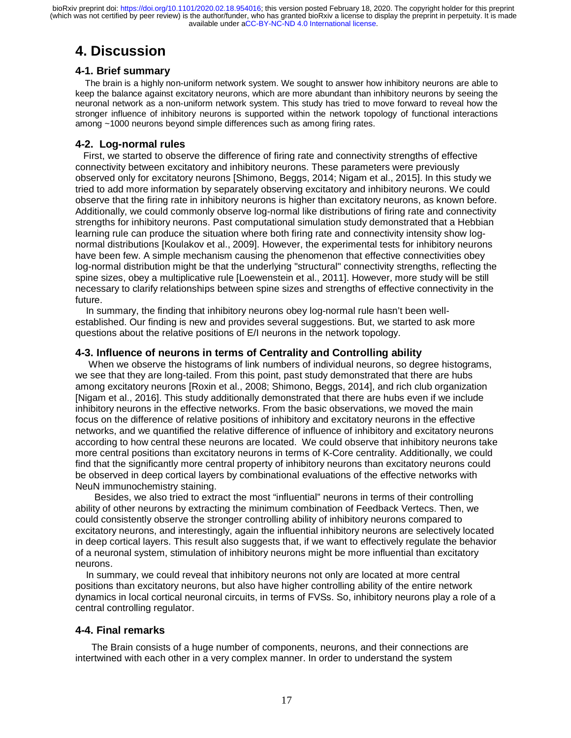# **4. Discussion**

### **4-1. Brief summary**

 The brain is a highly non-uniform network system. We sought to answer how inhibitory neurons are able to keep the balance against excitatory neurons, which are more abundant than inhibitory neurons by seeing the neuronal network as a non-uniform network system. This study has tried to move forward to reveal how the stronger influence of inhibitory neurons is supported within the network topology of functional interactions among ~1000 neurons beyond simple differences such as among firing rates.

## **4-2. Log-normal rules**

 First, we started to observe the difference of firing rate and connectivity strengths of effective connectivity between excitatory and inhibitory neurons. These parameters were previously observed only for excitatory neurons [Shimono, Beggs, 2014; Nigam et al., 2015]. In this study we tried to add more information by separately observing excitatory and inhibitory neurons. We could observe that the firing rate in inhibitory neurons is higher than excitatory neurons, as known before. Additionally, we could commonly observe log-normal like distributions of firing rate and connectivity strengths for inhibitory neurons. Past computational simulation study demonstrated that a Hebbian learning rule can produce the situation where both firing rate and connectivity intensity show lognormal distributions [Koulakov et al., 2009]. However, the experimental tests for inhibitory neurons have been few. A simple mechanism causing the phenomenon that effective connectivities obey log-normal distribution might be that the underlying "structural" connectivity strengths, reflecting the spine sizes, obey a multiplicative rule [Loewenstein et al., 2011]. However, more study will be still necessary to clarify relationships between spine sizes and strengths of effective connectivity in the future.

 In summary, the finding that inhibitory neurons obey log-normal rule hasn't been wellestablished. Our finding is new and provides several suggestions. But, we started to ask more questions about the relative positions of E/I neurons in the network topology.

#### **4-3. Influence of neurons in terms of Centrality and Controlling ability**

 When we observe the histograms of link numbers of individual neurons, so degree histograms, we see that they are long-tailed. From this point, past study demonstrated that there are hubs among excitatory neurons [Roxin et al., 2008; Shimono, Beggs, 2014], and rich club organization [Nigam et al., 2016]. This study additionally demonstrated that there are hubs even if we include inhibitory neurons in the effective networks. From the basic observations, we moved the main focus on the difference of relative positions of inhibitory and excitatory neurons in the effective networks, and we quantified the relative difference of influence of inhibitory and excitatory neurons according to how central these neurons are located. We could observe that inhibitory neurons take more central positions than excitatory neurons in terms of K-Core centrality. Additionally, we could find that the significantly more central property of inhibitory neurons than excitatory neurons could be observed in deep cortical layers by combinational evaluations of the effective networks with NeuN immunochemistry staining.

 Besides, we also tried to extract the most "influential" neurons in terms of their controlling ability of other neurons by extracting the minimum combination of Feedback Vertecs. Then, we could consistently observe the stronger controlling ability of inhibitory neurons compared to excitatory neurons, and interestingly, again the influential inhibitory neurons are selectively located in deep cortical layers. This result also suggests that, if we want to effectively regulate the behavior of a neuronal system, stimulation of inhibitory neurons might be more influential than excitatory neurons.

 In summary, we could reveal that inhibitory neurons not only are located at more central positions than excitatory neurons, but also have higher controlling ability of the entire network dynamics in local cortical neuronal circuits, in terms of FVSs. So, inhibitory neurons play a role of a central controlling regulator.

## **4-4. Final remarks**

 The Brain consists of a huge number of components, neurons, and their connections are intertwined with each other in a very complex manner. In order to understand the system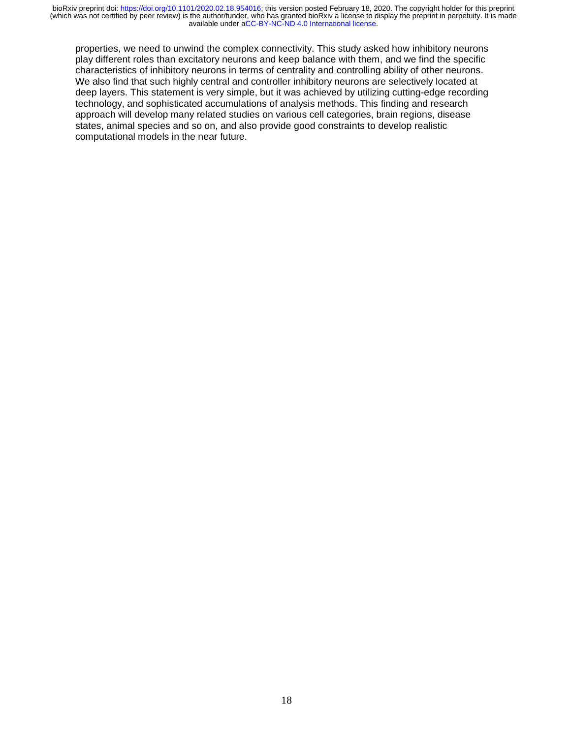properties, we need to unwind the complex connectivity. This study asked how inhibitory neurons play different roles than excitatory neurons and keep balance with them, and we find the specific characteristics of inhibitory neurons in terms of centrality and controlling ability of other neurons. We also find that such highly central and controller inhibitory neurons are selectively located at deep layers. This statement is very simple, but it was achieved by utilizing cutting-edge recording technology, and sophisticated accumulations of analysis methods. This finding and research approach will develop many related studies on various cell categories, brain regions, disease states, animal species and so on, and also provide good constraints to develop realistic computational models in the near future.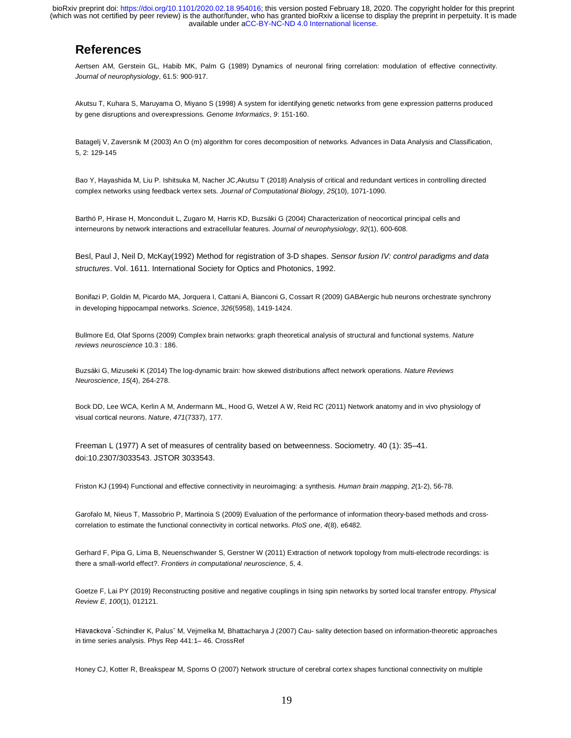## **References**

Aertsen AM, Gerstein GL, Habib MK, Palm G (1989) Dynamics of neuronal firing correlation: modulation of effective connectivity. *Journal of neurophysiology*, 61.5: 900-917.

Akutsu T, Kuhara S, Maruyama O, Miyano S (1998) A system for identifying genetic networks from gene expression patterns produced by gene disruptions and overexpressions. *Genome Informatics*, *9*: 151-160.

Batagelj V, Zaversnik M (2003) An O (m) algorithm for cores decomposition of networks. Advances in Data Analysis and Classification, 5, 2: 129-145

Bao Y, Hayashida M, Liu P. Ishitsuka M, Nacher JC,Akutsu T (2018) Analysis of critical and redundant vertices in controlling directed complex networks using feedback vertex sets. *Journal of Computational Biology*, *25*(10), 1071-1090.

Barthó P, Hirase H, Monconduit L, Zugaro M, Harris KD, Buzsáki G (2004) Characterization of neocortical principal cells and interneurons by network interactions and extracellular features. *Journal of neurophysiology*, *92*(1), 600-608.

Besl, Paul J, Neil D, McKay(1992) Method for registration of 3-D shapes. *Sensor fusion IV: control paradigms and data structures*. Vol. 1611. International Society for Optics and Photonics, 1992.

Bonifazi P, Goldin M, Picardo MA, Jorquera I, Cattani A, Bianconi G, Cossart R (2009) GABAergic hub neurons orchestrate synchrony in developing hippocampal networks. *Science*, *326*(5958), 1419-1424.

Bullmore Ed, Olaf Sporns (2009) Complex brain networks: graph theoretical analysis of structural and functional systems. *Nature reviews neuroscience* 10.3 : 186.

Buzsáki G, Mizuseki K (2014) The log-dynamic brain: how skewed distributions affect network operations. *Nature Reviews Neuroscience*, *15*(4), 264-278.

Bock DD, Lee WCA, Kerlin A M, Andermann ML, Hood G, Wetzel A W, Reid RC (2011) Network anatomy and in vivo physiology of visual cortical neurons. *Nature*, *471*(7337), 177.

Freeman L (1977) A set of measures of centrality based on betweenness. Sociometry. 40 (1): 35–41. doi:10.2307/3033543. JSTOR 3033543.

Friston KJ (1994) Functional and effective connectivity in neuroimaging: a synthesis. *Human brain mapping*, *2*(1

Friston KJ (1994) Functional and effective connectivity in neuroimaging: a synthesis. *Human brain mapping*, 2(1-2), 56-78.<br>Garofalo M, Nieus T, Massobrio P, Martinoia S (2009) Evaluation of the performance of information correlation to estimate the functional connectivity in cortical networks. *PloS one*, *4*(8), e6482.

Gerhard F, Pipa G, Lima B, Neuenschwander S, Gerstner W (2011) Extraction of network topology from multi-electrode recordings: is there a small-world effect?. *Frontiers in computational neuroscience*, *5*, 4.

Goetze F, Lai PY (2019) Reconstructing positive and negative couplings in Ising spin networks by sorted local transfer entropy. *Physical Review E*, *100*(1), 012121.

Hlavackova -in time series analysis. Phys Rep 441:1– 46. CrossRef Hlavackova´-Schindler K, Palusč M, Vejmelka M, Bhattacharya J (2007) Cau- sality detection based on information-theoretic approaches

Honey CJ, Kotter R, Breakspear M, Sporns O (2007) Network structure of cerebral cortex shapes functional connectivity on multiple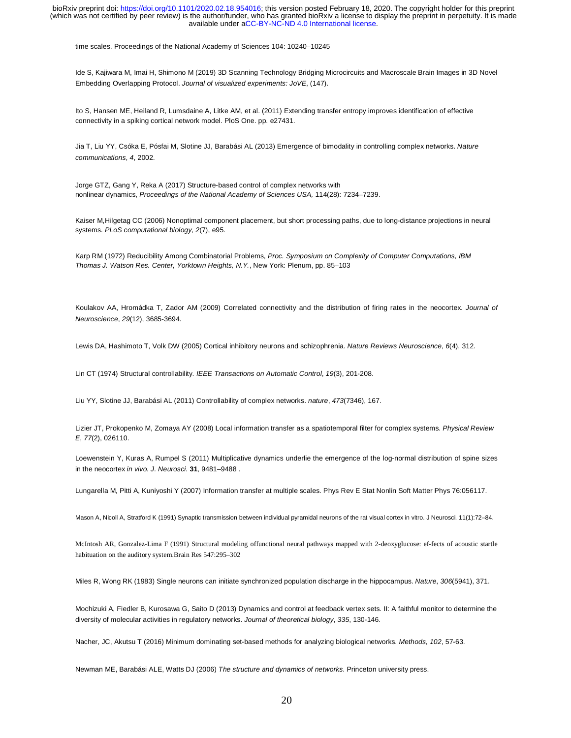time scales. Proceedings of the National Academy of Sciences 104: 10240–10245

Ide S, Kajiwara M, Imai H, Shimono M (2019) 3D Scanning Technology Bridging Microcircuits and Macroscale Brain Images in 3D Novel Embedding Overlapping Protocol. *Journal of visualized experiments: JoVE*, (147).

Ito S, Hansen ME, Heiland R, Lumsdaine A, Litke AM, et al. (2011) Extending transfer entropy improves identification of effective connectivity in a spiking cortical network model. PloS One. pp. e27431.

Jia T, Liu YY, Csóka E, Pósfai M, Slotine JJ, Barabási AL (2013) Emergence of bimodality in controlling complex networks. *Nature communications*, *4*, 2002.

Jorge GTZ, Gang Y, Reka A (2017) Structure-based control of complex networks with nonlinear dynamics, *Proceedings of the National Academy of Sciences USA,* 114(28): 7234–7239.

Kaiser M,Hilgetag CC (2006) Nonoptimal component placement, but short processing paths, due to long-distance projections in neural systems. *PLoS computational biology*, *2*(7), e95.

Karp RM (1972) Reducibility Among Combinatorial Problems, *Proc. Symposium on Complexity of Computer Computations, IBM Thomas J. Watson Res. Center, Yorktown Heights, N.Y.*, New York: Plenum, pp. 85–103

Koulakov AA, Hromádka T, Zador AM (2009) Correlated connectivity and the distribution of firing rates in the neocortex. *Journal of Neuroscience*, *29*(12), 3685-3694.

Lewis DA, Hashimoto T, Volk DW (2005) Cortical inhibitory neurons and schizophrenia. *Nature Reviews Neuroscience*, *6*(4), 312.

Lin CT (1974) Structural controllability. *IEEE Transactions on Automatic Control*, *19*(3), 201-208.

Liu YY, Slotine JJ, Barabási AL (2011) Controllability of complex networks. *nature*, *473*(7346), 167.

Lizier JT, Prokopenko M, Zomaya AY (2008) Local information transfer as a spatiotemporal filter for complex systems. *Physical Review E*, *77*(2), 026110.

Loewenstein Y, Kuras A, Rumpel S (2011) Multiplicative dynamics underlie the emergence of the log-normal distribution of spine sizes in the neocortex *in vivo. J. Neurosci.* **31**, 9481–9488 .

Lungarella M, Pitti A, Kuniyoshi Y (2007) Information transfer at multiple scales. Phys Rev E Stat Nonlin Soft Matter Phys 76:056117.

Mason A, Nicoll A, Stratford K (1991) Synaptic transmission between individual pyramidal neurons of the rat visual cortex in vitro. J Neurosci. 11(1):72–84.

McIntosh AR, Gonzalez-Lima F (1991) Structural modeling offunctional neural pathways mapped with 2-deoxyglucose: ef-fects of acoustic startle habituation on the auditory system.Brain Res 547:295–302

Miles R, Wong RK (1983) Single neurons can initiate synchronized population discharge in the hippocampus. *Nature*, *306*(5941), 371.

Mochizuki A, Fiedler B, Kurosawa G, Saito D (2013) Dynamics and control at feedback vertex sets. II: A faithful monitor to determine the diversity of molecular activities in regulatory networks. *Journal of theoretical biology*, *335*, 130-146.

Nacher, JC, Akutsu T (2016) Minimum dominating set-based methods for analyzing biological networks. *Methods*, *102*, 57-63.

Newman ME, Barabási ALE, Watts DJ (2006) *The structure and dynamics of networks*. Princeton university press.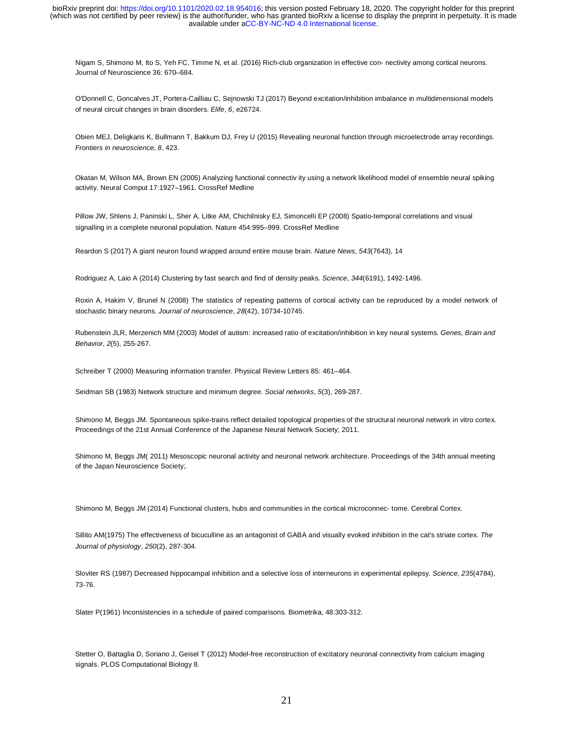Nigam S, Shimono M, Ito S, Yeh FC, Timme N, et al. (2016) Rich-club organization in effective con- nectivity among cortical neurons. Journal of Neuroscience 36: 670–684.

O'Donnell C, Goncalves JT, Portera-Cailliau C, Sejnowski TJ (2017) Beyond excitation/inhibition imbalance in multidimensional models of neural circuit changes in brain disorders. *Elife*, *6*, e26724.

Obien MEJ, Deligkaris K, Bullmann T, Bakkum DJ, Frey U (2015) Revealing neuronal function through microelectrode array recordings. *Frontiers in neuroscience*, *8*, 423.

Okatan M, Wilson MA, Brown EN (2005) Analyzing functional connectiv ity using a network likelihood model of ensemble neural spiking activity. Neural Comput 17:1927–1961. CrossRef Medline

Pillow JW, Shlens J, Paninski L, Sher A, Litke AM, Chichilnisky EJ, Simoncelli EP (2008) Spatio-temporal correlations and visual signalling in a complete neuronal population. Nature 454:995–999. CrossRef Medline

Reardon S (2017) A giant neuron found wrapped around entire mouse brain. *Nature News*, *543*(7643), 14

Rodriguez A, Laio A (2014) Clustering by fast search and find of density peaks. *Science*, *344*(6191), 1492-1496.

Roxin A, Hakim V, Brunel N (2008) The statistics of repeating patterns of cortical activity can be reproduced by a model network of stochastic binary neurons. *Journal of neuroscience*, *28*(42), 10734-10745.

Rubenstein JLR, Merzenich MM (2003) Model of autism: increased ratio of excitation/inhibition in key neural systems. *Genes, Brain and Behavior*, *2*(5), 255-267.

Schreiber T (2000) Measuring information transfer. Physical Review Letters 85: 461–464.

Seidman SB (1983) Network structure and minimum degree. *Social networks*, *5*(3), 269-287.

Shimono M, Beggs JM. Spontaneous spike-trains reflect detailed topological properties of the structural neuronal network in vitro cortex. Proceedings of the 21st Annual Conference of the Japanese Neural Network Society; 2011.

Shimono M, Beggs JM( 2011) Mesoscopic neuronal activity and neuronal network architecture. Proceedings of the 34th annual meeting of the Japan Neuroscience Society;.

Shimono M, Beggs JM (2014) Functional clusters, hubs and communities in the cortical microconnec- tome. Cerebral Cortex.

Sillito AM(1975) The effectiveness of bicuculline as an antagonist of GABA and visually evoked inhibition in the cat's striate cortex. *The Journal of physiology*, *250*(2), 287-304.

Sloviter RS (1987) Decreased hippocampal inhibition and a selective loss of interneurons in experimental epilepsy. *Science*, *235*(4784), 73-76.

Slater P(1961) Inconsistencies in a schedule of paired comparisons. Biometrika, 48:303-312.

Stetter O, Battaglia D, Soriano J, Geisel T (2012) Model-free reconstruction of excitatory neuronal connectivity from calcium imaging signals. PLOS Computational Biology 8.